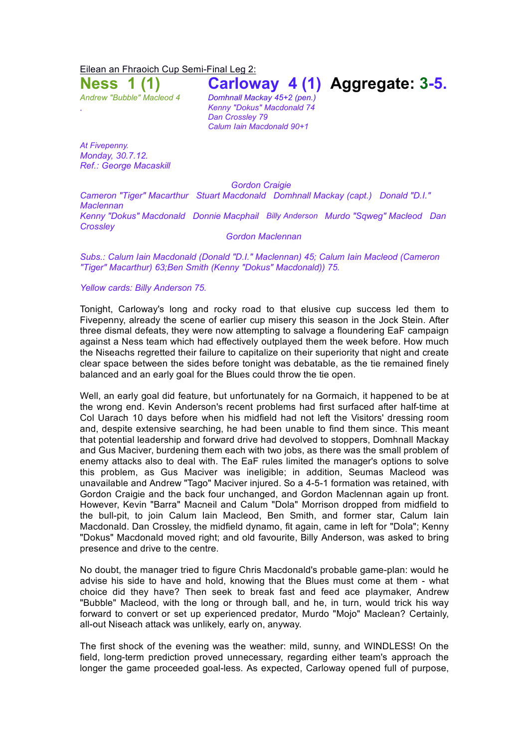Eilean an Fhraoich Cup Semi-Final Leg 2:

**Ness 1 (1) Carloway 4 (1) Aggregate: 3-5.**

*Andrew "Bubble" Macleod 4 Domhnall Mackay 45+2 (pen.) . Kenny "Dokus" Macdonald 74 Dan Crossley 79 Calum Iain Macdonald 90+1*

*At Fivepenny. Monday, 30.7.12. Ref.: George Macaskill*

*Gordon Craigie*

*Cameron "Tiger" Macarthur Stuart Macdonald Domhnall Mackay (capt.) Donald "D.I." Maclennan Kenny "Dokus" Macdonald Donnie Macphail Billy Anderson Murdo "Sqweg" Macleod Dan Crossley*

*Gordon Maclennan*

*Subs.: Calum Iain Macdonald (Donald "D.I." Maclennan) 45; Calum Iain Macleod (Cameron "Tiger" Macarthur) 63;Ben Smith (Kenny "Dokus" Macdonald)) 75.*

*Yellow cards: Billy Anderson 75.*

Tonight, Carloway's long and rocky road to that elusive cup success led them to Fivepenny, already the scene of earlier cup misery this season in the Jock Stein. After three dismal defeats, they were now attempting to salvage a floundering EaF campaign against a Ness team which had effectively outplayed them the week before. How much the Niseachs regretted their failure to capitalize on their superiority that night and create clear space between the sides before tonight was debatable, as the tie remained finely balanced and an early goal for the Blues could throw the tie open.

Well, an early goal did feature, but unfortunately for na Gormaich, it happened to be at the wrong end. Kevin Anderson's recent problems had first surfaced after half-time at Col Uarach 10 days before when his midfield had not left the Visitors' dressing room and, despite extensive searching, he had been unable to find them since. This meant that potential leadership and forward drive had devolved to stoppers, Domhnall Mackay and Gus Maciver, burdening them each with two jobs, as there was the small problem of enemy attacks also to deal with. The EaF rules limited the manager's options to solve this problem, as Gus Maciver was ineligible; in addition, Seumas Macleod was unavailable and Andrew "Tago" Maciver injured. So a 4-5-1 formation was retained, with Gordon Craigie and the back four unchanged, and Gordon Maclennan again up front. However, Kevin "Barra" Macneil and Calum "Dola" Morrison dropped from midfield to the bull-pit, to join Calum Iain Macleod, Ben Smith, and former star, Calum Iain Macdonald. Dan Crossley, the midfield dynamo, fit again, came in left for "Dola"; Kenny "Dokus" Macdonald moved right; and old favourite, Billy Anderson, was asked to bring presence and drive to the centre.

No doubt, the manager tried to figure Chris Macdonald's probable game-plan: would he advise his side to have and hold, knowing that the Blues must come at them - what choice did they have? Then seek to break fast and feed ace playmaker, Andrew "Bubble" Macleod, with the long or through ball, and he, in turn, would trick his way forward to convert or set up experienced predator, Murdo "Mojo" Maclean? Certainly, all-out Niseach attack was unlikely, early on, anyway.

The first shock of the evening was the weather: mild, sunny, and WINDLESS! On the field, long-term prediction proved unnecessary, regarding either team's approach the longer the game proceeded goal-less. As expected, Carloway opened full of purpose,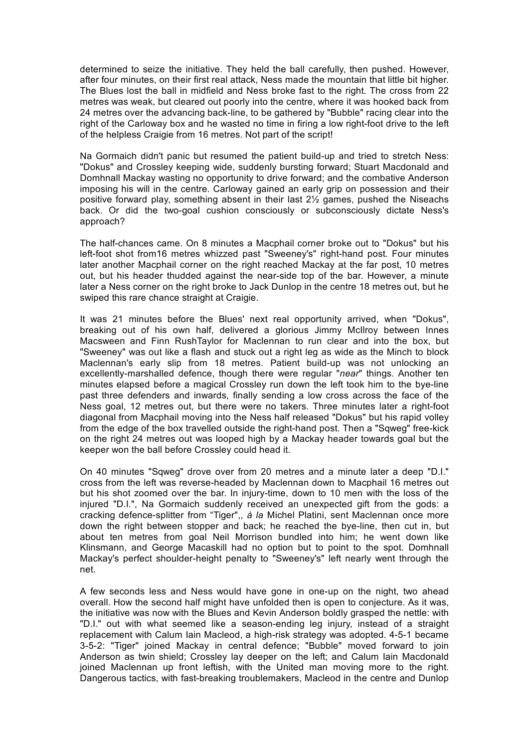determined to seize the initiative. They held the ball carefully, then pushed. However, after four minutes, on their first real attack, Ness made the mountain that little bit higher. The Blues lost the ball in midfield and Ness broke fast to the right. The cross from 22 metres was weak, but cleared out poorly into the centre, where it was hooked back from 24 metres over the advancing back-line, to be gathered by "Bubble" racing clear into the right of the Carloway box and he wasted no time in firing a low right-foot drive to the left of the helpless Craigie from 16 metres. Not part of the script!

Na Gormaich didn't panic but resumed the patient build-up and tried to stretch Ness: "Dokus" and Crossley keeping wide, suddenly bursting forward; Stuart Macdonald and Domhnall Mackay wasting no opportunity to drive forward; and the combative Anderson imposing his will in the centre. Carloway gained an early grip on possession and their positive forward play, something absent in their last 2½ games, pushed the Niseachs back. Or did the two-goal cushion consciously or subconsciously dictate Ness's approach?

The half-chances came. On 8 minutes a Macphail corner broke out to "Dokus" but his left-foot shot from16 metres whizzed past "Sweeney's" right-hand post. Four minutes later another Macphail corner on the right reached Mackay at the far post, 10 metres out, but his header thudded against the near-side top of the bar. However, a minute later a Ness corner on the right broke to Jack Dunlop in the centre 18 metres out, but he swiped this rare chance straight at Craigie.

It was 21 minutes before the Blues' next real opportunity arrived, when "Dokus", breaking out of his own half, delivered a glorious Jimmy McIlroy between Innes Macsween and Finn RushTaylor for Maclennan to run clear and into the box, but "Sweeney" was out like a flash and stuck out a right leg as wide as the Minch to block Maclennan's early slip from 18 metres. Patient build-up was not unlocking an excellently-marshalled defence, though there were regular "*near*" things. Another ten minutes elapsed before a magical Crossley run down the left took him to the bye-line past three defenders and inwards, finally sending a low cross across the face of the Ness goal, 12 metres out, but there were no takers. Three minutes later a right-foot diagonal from Macphail moving into the Ness half released "Dokus" but his rapid volley from the edge of the box travelled outside the right-hand post. Then a "Sqweg" free-kick on the right 24 metres out was looped high by a Mackay header towards goal but the keeper won the ball before Crossley could head it.

On 40 minutes "Sqweg" drove over from 20 metres and a minute later a deep "D.I." cross from the left was reverse-headed by Maclennan down to Macphail 16 metres out but his shot zoomed over the bar. In injury-time, down to 10 men with the loss of the injured "D.I.", Na Gormaich suddenly received an unexpected gift from the gods: a cracking defence-splitter from "Tiger",, *à la* Michel Platini, sent Maclennan once more down the right between stopper and back; he reached the bye-line, then cut in, but about ten metres from goal Neil Morrison bundled into him; he went down like Klinsmann, and George Macaskill had no option but to point to the spot. Domhnall Mackay's perfect shoulder-height penalty to "Sweeney's" left nearly went through the net.

A few seconds less and Ness would have gone in one-up on the night, two ahead overall. How the second half might have unfolded then is open to conjecture. As it was, the initiative was now with the Blues and Kevin Anderson boldly grasped the nettle: with "D.I." out with what seemed like a season-ending leg injury, instead of a straight replacement with Calum Iain Macleod, a high-risk strategy was adopted. 4-5-1 became 3-5-2: "Tiger" joined Mackay in central defence; "Bubble" moved forward to join Anderson as twin shield; Crossley lay deeper on the left; and Calum Iain Macdonald joined Maclennan up front leftish, with the United man moving more to the right. Dangerous tactics, with fast-breaking troublemakers, Macleod in the centre and Dunlop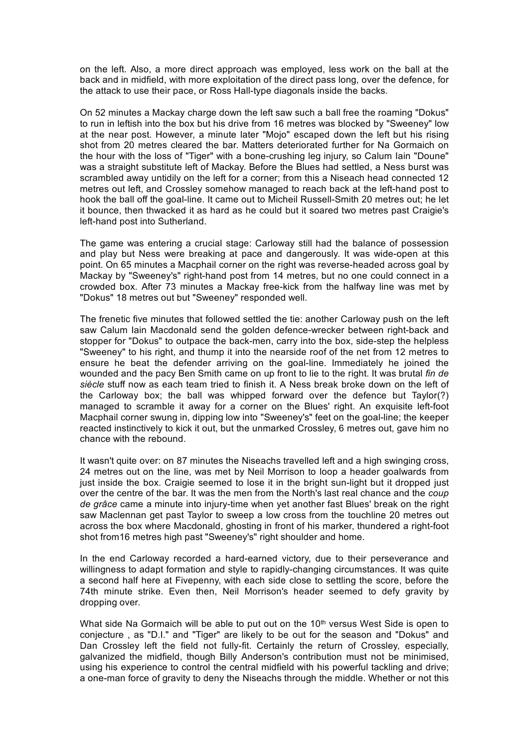on the left. Also, a more direct approach was employed, less work on the ball at the back and in midfield, with more exploitation of the direct pass long, over the defence, for the attack to use their pace, or Ross Hall-type diagonals inside the backs.

On 52 minutes a Mackay charge down the left saw such a ball free the roaming "Dokus" to run in leftish into the box but his drive from 16 metres was blocked by "Sweeney" low at the near post. However, a minute later "Mojo" escaped down the left but his rising shot from 20 metres cleared the bar. Matters deteriorated further for Na Gormaich on the hour with the loss of "Tiger" with a bone-crushing leg injury, so Calum Iain "Doune" was a straight substitute left of Mackay. Before the Blues had settled, a Ness burst was scrambled away untidily on the left for a corner; from this a Niseach head connected 12 metres out left, and Crossley somehow managed to reach back at the left-hand post to hook the ball off the goal-line. It came out to Micheil Russell-Smith 20 metres out; he let it bounce, then thwacked it as hard as he could but it soared two metres past Craigie's left-hand post into Sutherland.

The game was entering a crucial stage: Carloway still had the balance of possession and play but Ness were breaking at pace and dangerously. It was wide-open at this point. On 65 minutes a Macphail corner on the right was reverse-headed across goal by Mackay by "Sweeney's" right-hand post from 14 metres, but no one could connect in a crowded box. After 73 minutes a Mackay free-kick from the halfway line was met by "Dokus" 18 metres out but "Sweeney" responded well.

The frenetic five minutes that followed settled the tie: another Carloway push on the left saw Calum Iain Macdonald send the golden defence-wrecker between right-back and stopper for "Dokus" to outpace the back-men, carry into the box, side-step the helpless "Sweeney" to his right, and thump it into the nearside roof of the net from 12 metres to ensure he beat the defender arriving on the goal-line. Immediately he joined the wounded and the pacy Ben Smith came on up front to lie to the right. It was brutal *fin de siècle* stuff now as each team tried to finish it. A Ness break broke down on the left of the Carloway box; the ball was whipped forward over the defence but Taylor(?) managed to scramble it away for a corner on the Blues' right. An exquisite left-foot Macphail corner swung in, dipping low into "Sweeney's" feet on the goal-line; the keeper reacted instinctively to kick it out, but the unmarked Crossley, 6 metres out, gave him no chance with the rebound.

It wasn't quite over: on 87 minutes the Niseachs travelled left and a high swinging cross, 24 metres out on the line, was met by Neil Morrison to loop a header goalwards from just inside the box. Craigie seemed to lose it in the bright sun-light but it dropped just over the centre of the bar. It was the men from the North's last real chance and the *coup de grâce* came a minute into injury-time when yet another fast Blues' break on the right saw Maclennan get past Taylor to sweep a low cross from the touchline 20 metres out across the box where Macdonald, ghosting in front of his marker, thundered a right-foot shot from16 metres high past "Sweeney's" right shoulder and home.

In the end Carloway recorded a hard-earned victory, due to their perseverance and willingness to adapt formation and style to rapidly-changing circumstances. It was quite a second half here at Fivepenny, with each side close to settling the score, before the 74th minute strike. Even then, Neil Morrison's header seemed to defy gravity by dropping over.

What side Na Gormaich will be able to put out on the  $10<sup>th</sup>$  versus West Side is open to conjecture , as "D.I." and "Tiger" are likely to be out for the season and "Dokus" and Dan Crossley left the field not fully-fit. Certainly the return of Crossley, especially, galvanized the midfield, though Billy Anderson's contribution must not be minimised, using his experience to control the central midfield with his powerful tackling and drive; a one-man force of gravity to deny the Niseachs through the middle. Whether or not this